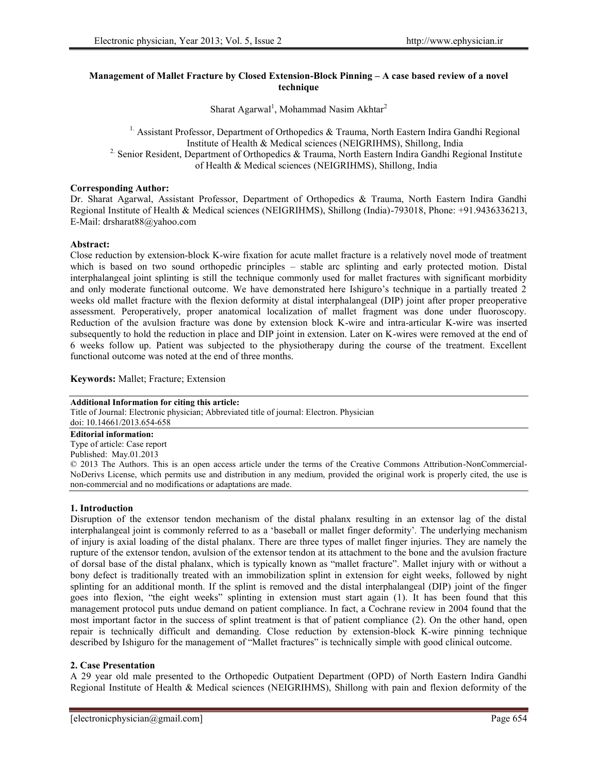# **Management of Mallet Fracture by Closed Extension-Block Pinning – A case based review of a novel technique**

Sharat Agarwal<sup>1</sup>, Mohammad Nasim Akhtar<sup>2</sup>

<sup>1.</sup> Assistant Professor, Department of Orthopedics & Trauma, North Eastern Indira Gandhi Regional Institute of Health & Medical sciences (NEIGRIHMS), Shillong, India <sup>2</sup> Senior Resident, Department of Orthopedics & Trauma, North Eastern Indira Gandhi Regional Institute of Health & Medical sciences (NEIGRIHMS), Shillong, India

### **Corresponding Author:**

Dr. Sharat Agarwal, Assistant Professor, Department of Orthopedics & Trauma, North Eastern Indira Gandhi Regional Institute of Health & Medical sciences (NEIGRIHMS), Shillong (India)-793018, Phone: +91.9436336213, E-Mail: drsharat88@yahoo.com

#### **Abstract:**

Close reduction by extension-block K-wire fixation for acute mallet fracture is a relatively novel mode of treatment which is based on two sound orthopedic principles – stable arc splinting and early protected motion. Distal interphalangeal joint splinting is still the technique commonly used for mallet fractures with significant morbidity and only moderate functional outcome. We have demonstrated here Ishiguro's technique in a partially treated 2 weeks old mallet fracture with the flexion deformity at distal interphalangeal (DIP) joint after proper preoperative assessment. Peroperatively, proper anatomical localization of mallet fragment was done under fluoroscopy. Reduction of the avulsion fracture was done by extension block K-wire and intra-articular K-wire was inserted subsequently to hold the reduction in place and DIP joint in extension. Later on K-wires were removed at the end of 6 weeks follow up. Patient was subjected to the physiotherapy during the course of the treatment. Excellent functional outcome was noted at the end of three months.

**Keywords:** Mallet; Fracture; Extension

#### **Additional Information for citing this article:**

Title of Journal: Electronic physician; Abbreviated title of journal: Electron. Physician doi: 10.14661/2013.654-658

#### **Editorial information:**

Type of article: Case report

Published: May.01.2013 © 2013 The Authors. This is an open access article under the terms of the Creative Commons Attribution-NonCommercial- NoDerivs License, which permits use and distribution in any medium, provided the original work is properly cited, the use is non-commercial and no modifications or adaptations are made.

### **1. Introduction**

Disruption of the extensor tendon mechanism of the distal phalanx resulting in an extensor lag of the distal interphalangeal joint is commonly referred to as a 'baseball or mallet finger deformity'*.* The underlying mechanism of injury is axial loading of the distal phalanx. There are three types of mallet finger injuries. They are namely the rupture of the extensor tendon, avulsion of the extensor tendon at its attachment to the bone and the avulsion fracture of dorsal base of the distal phalanx, which is typically known as "mallet fracture". Mallet injury with or without a bony defect is traditionally treated with an immobilization splint in extension for eight weeks, followed by night splinting for an additional month. If the splint is removed and the distal interphalangeal (DIP) joint of the finger goes into flexion, "the eight weeks" splinting in extension must start again (1). It has been found that this management protocol puts undue demand on patient compliance. In fact, a Cochrane review in 2004 found that the most important factor in the success of splint treatment is that of patient compliance (2). On the other hand, open repair is technically difficult and demanding. Close reduction by extension-block K-wire pinning technique described by Ishiguro for the management of "Mallet fractures" is technically simple with good clinical outcome.

### **2. Case Presentation**

A 29 year old male presented to the Orthopedic Outpatient Department (OPD) of North Eastern Indira Gandhi Regional Institute of Health & Medical sciences (NEIGRIHMS), Shillong with pain and flexion deformity of the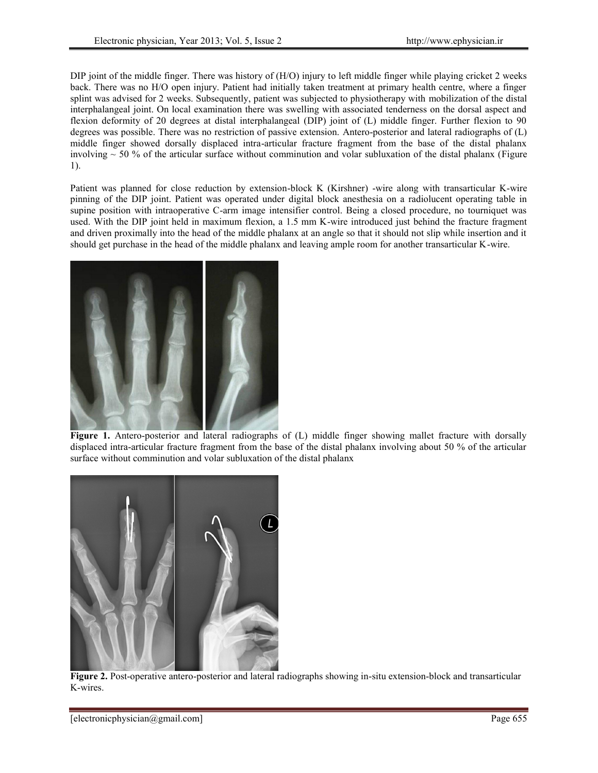DIP joint of the middle finger. There was history of (H/O) injury to left middle finger while playing cricket 2 weeks back. There was no H/O open injury. Patient had initially taken treatment at primary health centre, where a finger splint was advised for 2 weeks. Subsequently, patient was subjected to physiotherapy with mobilization of the distal interphalangeal joint. On local examination there was swelling with associated tenderness on the dorsal aspect and flexion deformity of 20 degrees at distal interphalangeal (DIP) joint of (L) middle finger. Further flexion to 90 degrees was possible. There was no restriction of passive extension. Antero-posterior and lateral radiographs of (L) middle finger showed dorsally displaced intra-articular fracture fragment from the base of the distal phalanx involving  $\sim$  50 % of the articular surface without comminution and volar subluxation of the distal phalanx (Figure 1).

Patient was planned for close reduction by extension-block K (Kirshner) -wire along with transarticular K-wire pinning of the DIP joint. Patient was operated under digital block anesthesia on a radiolucent operating table in supine position with intraoperative C-arm image intensifier control. Being a closed procedure, no tourniquet was used. With the DIP joint held in maximum flexion, a 1.5 mm K-wire introduced just behind the fracture fragment and driven proximally into the head of the middle phalanx at an angle so that it should not slip while insertion and it should get purchase in the head of the middle phalanx and leaving ample room for another transarticular K-wire.



**Figure 1.** Antero-posterior and lateral radiographs of (L) middle finger showing mallet fracture with dorsally displaced intra-articular fracture fragment from the base of the distal phalanx involving about 50 % of the articular surface without comminution and volar subluxation of the distal phalanx



**Figure 2.** Post-operative antero-posterior and lateral radiographs showing in-situ extension-block and transarticular K-wires.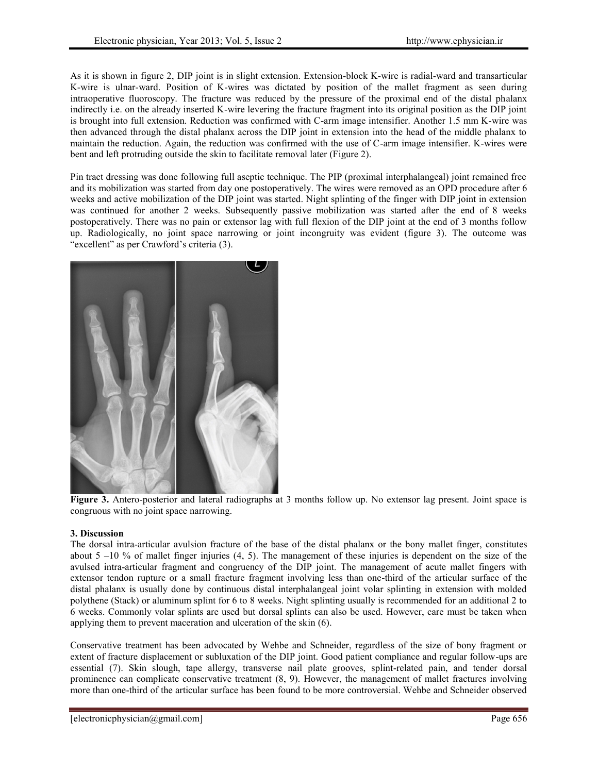As it is shown in figure 2, DIP joint is in slight extension. Extension-block K-wire is radial-ward and transarticular K-wire is ulnar-ward. Position of K-wires was dictated by position of the mallet fragment as seen during intraoperative fluoroscopy. The fracture was reduced by the pressure of the proximal end of the distal phalanx indirectly i.e. on the already inserted K-wire levering the fracture fragment into its original position as the DIP joint is brought into full extension. Reduction was confirmed with C-arm image intensifier. Another 1.5 mm K-wire was then advanced through the distal phalanx across the DIP joint in extension into the head of the middle phalanx to maintain the reduction. Again, the reduction was confirmed with the use of C-arm image intensifier. K-wires were bent and left protruding outside the skin to facilitate removal later (Figure 2).

Pin tract dressing was done following full aseptic technique. The PIP (proximal interphalangeal) joint remained free and its mobilization was started from day one postoperatively. The wires were removed as an OPD procedure after 6 weeks and active mobilization of the DIP joint was started. Night splinting of the finger with DIP joint in extension was continued for another 2 weeks. Subsequently passive mobilization was started after the end of 8 weeks postoperatively. There was no pain or extensor lag with full flexion of the DIP joint at the end of 3 months follow up. Radiologically, no joint space narrowing or joint incongruity was evident (figure 3). The outcome was "excellent" as per Crawford's criteria (3).



**Figure 3.** Antero-posterior and lateral radiographs at 3 months follow up. No extensor lag present. Joint space is congruous with no joint space narrowing.

# **3. Discussion**

The dorsal intra-articular avulsion fracture of the base of the distal phalanx or the bony mallet finger, constitutes about  $5 -10\%$  of mallet finger injuries (4, 5). The management of these injuries is dependent on the size of the avulsed intra-articular fragment and congruency of the DIP joint. The management of acute mallet fingers with extensor tendon rupture or a small fracture fragment involving less than one-third of the articular surface of the distal phalanx is usually done by continuous distal interphalangeal joint volar splinting in extension with molded polythene (Stack) or aluminum splint for 6 to 8 weeks. Night splinting usually is recommended for an additional 2 to 6 weeks. Commonly volar splints are used but dorsal splints can also be used. However, care must be taken when applying them to prevent maceration and ulceration of the skin (6).

Conservative treatment has been advocated by Wehbe and Schneider, regardless of the size of bony fragment or extent of fracture displacement or subluxation of the DIP joint. Good patient compliance and regular follow-ups are essential (7). Skin slough, tape allergy, transverse nail plate grooves, splint-related pain, and tender dorsal prominence can complicate conservative treatment (8, 9). However, the management of mallet fractures involving more than one-third of the articular surface has been found to be more controversial. Wehbe and Schneider observed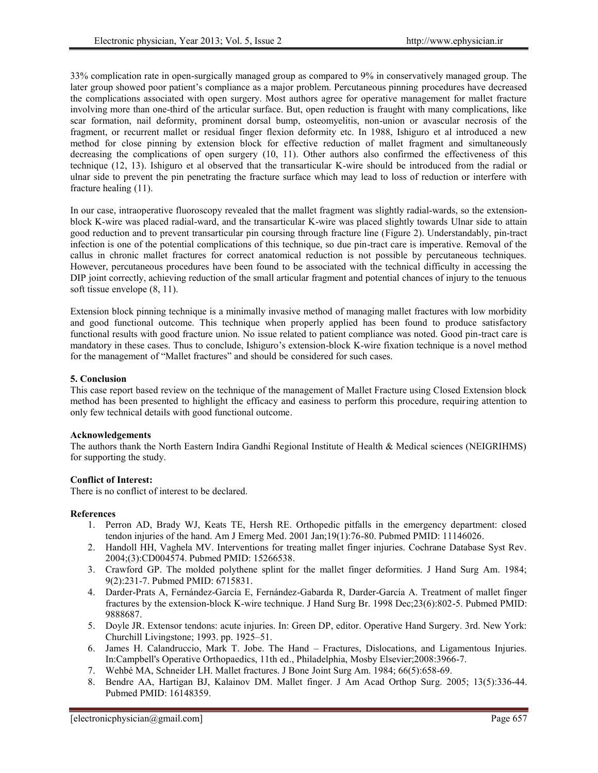33% complication rate in open-surgically managed group as compared to 9% in conservatively managed group. The later group showed poor patient's compliance as a major problem. Percutaneous pinning procedures have decreased the complications associated with open surgery. Most authors agree for operative management for mallet fracture involving more than one-third of the articular surface. But, open reduction is fraught with many complications, like scar formation, nail deformity, prominent dorsal bump, osteomyelitis, non-union or avascular necrosis of the fragment, or recurrent mallet or residual finger flexion deformity etc. In 1988, Ishiguro et al introduced a new method for close pinning by extension block for effective reduction of mallet fragment and simultaneously decreasing the complications of open surgery (10, 11). Other authors also confirmed the effectiveness of this technique (12, 13). Ishiguro et al observed that the transarticular K-wire should be introduced from the radial or ulnar side to prevent the pin penetrating the fracture surface which may lead to loss of reduction or interfere with fracture healing (11).

In our case, intraoperative fluoroscopy revealed that the mallet fragment was slightly radial-wards, so the extension block K-wire was placed radial-ward, and the transarticular K-wire was placed slightly towards Ulnar side to attain good reduction and to prevent transarticular pin coursing through fracture line (Figure 2). Understandably, pin-tract infection is one of the potential complications of this technique, so due pin-tract care is imperative. Removal of the callus in chronic mallet fractures for correct anatomical reduction is not possible by percutaneous techniques. However, percutaneous procedures have been found to be associated with the technical difficulty in accessing the DIP joint correctly, achieving reduction of the small articular fragment and potential chances of injury to the tenuous soft tissue envelope (8, 11).

Extension block pinning technique is a minimally invasive method of managing mallet fractures with low morbidity and good functional outcome. This technique when properly applied has been found to produce satisfactory functional results with good fracture union. No issue related to patient compliance was noted. Good pin-tract care is mandatory in these cases. Thus to conclude, Ishiguro's extension-block K-wire fixation technique is a novel method for the management of "Mallet fractures" and should be considered for such cases.

# **5. Conclusion**

This case report based review on the technique of the management of Mallet Fracture using Closed Extension block method has been presented to highlight the efficacy and easiness to perform this procedure, requiring attention to only few technical details with good functional outcome.

### **Acknowledgements**

The authors thank the North Eastern Indira Gandhi Regional Institute of Health & Medical sciences (NEIGRIHMS) for supporting the study.

### **Conflict of Interest:**

There is no conflict of interest to be declared.

### **References**

- 1. Perron AD, Brady WJ, Keats TE, Hersh RE. Orthopedic pitfalls in the emergency department: closed tendon injuries of the hand. Am J Emerg Med. 2001 Jan;19(1):76-80. Pubmed PMID: 11146026.
- 2. Handoll HH, Vaghela MV. Interventions for treating mallet finger injuries. Cochrane Database Syst Rev. 2004;(3):CD004574. Pubmed PMID: 15266538.
- 3. Crawford GP. The molded polythene splint for the mallet finger deformities. J Hand Surg Am. 1984; 9(2):231-7. Pubmed PMID: 6715831.
- 4. Darder-Prats A, Fernández-García E, Fernández-Gabarda R, Darder-García A. Treatment of mallet finger fractures by the extension-block K-wire technique. J Hand Surg Br. 1998 Dec;23(6):802-5. Pubmed PMID: 9888687.
- 5. Doyle JR. Extensor tendons: acute injuries. In: Green DP, editor. Operative Hand Surgery. 3rd. New York: Churchill Livingstone; 1993. pp. 1925–51.
- 6. James H. Calandruccio, Mark T. Jobe. The Hand Fractures, Dislocations, and Ligamentous Injuries. In:Campbell's Operative Orthopaedics, 11th ed., Philadelphia, Mosby Elsevier;2008:3966-7.
- 7. Wehbé MA, Schneider LH. Mallet fractures. J Bone Joint Surg Am. 1984; 66(5):658-69.
- 8. Bendre AA, Hartigan BJ, Kalainov DM. Mallet finger. J Am Acad Orthop Surg. 2005; 13(5):336-44. Pubmed PMID: 16148359.